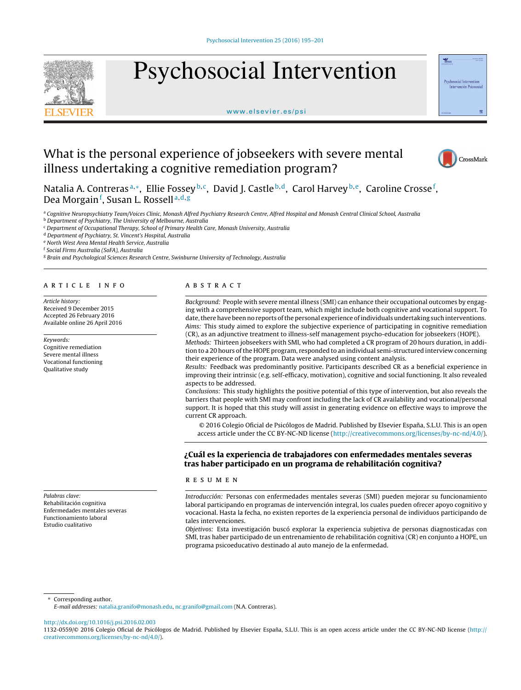

# Psychosocial Intervention







Psychosocial Intervention Intervención Psicosocial

 $\frac{1}{2}$ 

Natalia A. Contrerasª,\*, Ellie Fossey b,c, David J. Castle b,d, Carol Harvey <sup>b,e</sup>, Caroline Crosse <sup>f</sup>, Dea Morgain<sup>f</sup>, Susan L. Rossell<sup>a,d,g</sup>

a Cognitive Neuropsychiatry Team/Voices Clinic, Monash Alfred Psychiatry Research Centre, Alfred Hospital and Monash Central Clinical School, Australia

<sup>b</sup> Department of Psychiatry, The University of Melbourne, Australia

<sup>c</sup> Department of Occupational Therapy, School of Primary Health Care, Monash University, Australia

<sup>d</sup> Department of Psychiatry, St. Vincent's Hospital, Australia

<sup>e</sup> North West Area Mental Health Service, Australia

<sup>f</sup> Social Firms Australia (SoFA), Australia

<sup>g</sup> Brain and Psychological Sciences Research Centre, Swinburne University of Technology, Australia

## a r t i c l e i n f o

Article history: Received 9 December 2015 Accepted 26 February 2016 Available online 26 April 2016

Keywords: Cognitive remediation Severe mental illness Vocational functioning

Qualitative study

Palabras clave: Rehabilitación cognitiva Enfermedades mentales severas Functionamiento laboral Estudio cualitativo

# a b s t r a c t

Background: People with severe mental illness (SMI) can enhance their occupational outcomes by engaging with a comprehensive support team, which might include both cognitive and vocational support. To date, there have been no reports of the personal experience of individuals undertaking such interventions. Aims: This study aimed to explore the subjective experience of participating in cognitive remediation (CR), as an adjunctive treatment to illness-self management psycho-education for jobseekers (HOPE). Methods: Thirteen jobseekers with SMI, who had completed a CR program of 20 hours duration, in addi-

tion to a 20 hours ofthe HOPE program, responded to an individual semi-structured interview concerning their experience of the program. Data were analysed using content analysis.

Results: Feedback was predominantly positive. Participants described CR as a beneficial experience in improving their intrinsic (e.g. self-efficacy, motivation), cognitive and social functioning. It also revealed aspects to be addressed.

Conclusions: This study highlights the positive potential of this type of intervention, but also reveals the barriers that people with SMI may confront including the lack of CR availability and vocational/personal support. It is hoped that this study will assist in generating evidence on effective ways to improve the current CR approach.

© 2016 Colegio Oficial de Psicólogos de Madrid. Published by Elsevier España, S.L.U. This is an open access article under the CC BY-NC-ND license [\(http://creativecommons.org/licenses/by-nc-nd/4.0/](http://creativecommons.org/licenses/by-nc-nd/4.0/)).

# **¿Cuál es la experiencia de trabajadores con enfermedades mentales severas tras haber participado en un programa de rehabilitación cognitiva?**

## r e s u m e n

Introducción: Personas con enfermedades mentales severas (SMI) pueden mejorar su funcionamiento laboral participando en programas de intervención integral, los cuales pueden ofrecer apoyo cognitivo y vocacional. Hasta la fecha, no existen reportes de la experiencia personal de individuos participando de tales intervenciones.

Objetivos: Esta investigación buscó explorar la experiencia subjetiva de personas diagnosticadas con SMI, tras haber participado de un entrenamiento de rehabilitación cognitiva (CR) en conjunto a HOPE, un programa psicoeducativo destinado al auto manejo de la enfermedad.

Corresponding author.

E-mail addresses: [natalia.granifo@monash.edu](mailto:natalia.granifo@monash.edu), [nc.granifo@gmail.com](mailto:nc.granifo@unhbox voidb@x {special {ps:6 TD$DIFF}}gmail.com) (N.A. Contreras).

[http://dx.doi.org/10.1016/j.psi.2016.02.003](dx.doi.org/10.1016/j.psi.2016.02.003)

1132-0559/© 2016 Colegio Oficial de Psicólogos de Madrid. Published by Elsevier España, S.L.U. This is an open access article under the CC BY-NC-ND license ([http://](http://creativecommons.org/licenses/by-nc-nd/4.0/) [creativecommons.org/licenses/by-nc-nd/4.0/](http://creativecommons.org/licenses/by-nc-nd/4.0/)).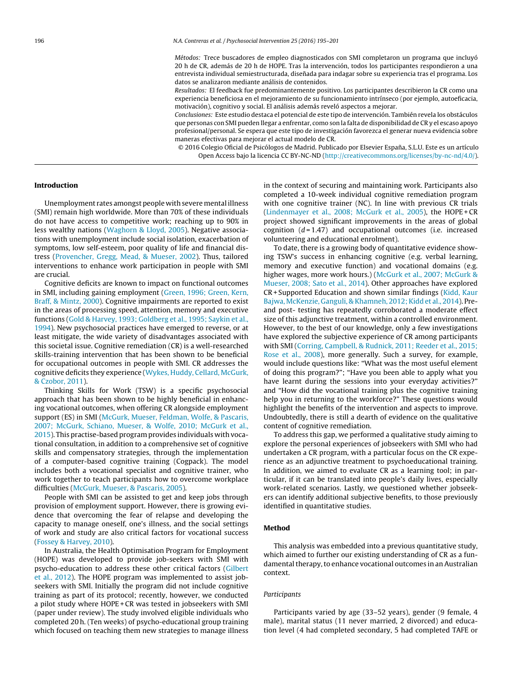Métodos: Trece buscadores de empleo diagnosticados con SMI completaron un programa que incluyó 20 h de CR, además de 20 h de HOPE. Tras la intervención, todos los participantes respondieron a una entrevista individual semiestructurada, diseñada para indagar sobre su experiencia tras el programa. Los datos se analizaron mediante análisis de contenidos.

Resultados: El feedback fue predominantemente positivo. Los participantes describieron la CR como una experiencia beneficiosa en el mejoramiento de su funcionamiento intrínseco (por ejemplo, autoeficacia, motivación), cognitivo y social. El análisis además reveló aspectos a mejorar.

Conclusiones: Este estudio destaca el potencial de este tipo de intervención. También revela los obstáculos que personas con SMI pueden llegar a enfrentar, como son la falta de disponibilidad de CR y el escaso apoyo profesional/personal. Se espera que este tipo de investigación favorezca el generar nueva evidencia sobre maneras efectivas para mejorar el actual modelo de CR.

© 2016 Colegio Oficial de Psicólogos de Madrid. Publicado por Elsevier España, S.L.U. Este es un artículo Open Access bajo la licencia CC BY-NC-ND [\(http://creativecommons.org/licenses/by-nc-nd/4.0/\)](http://creativecommons.org/licenses/by-nc-nd/4.0/).

#### **Introduction**

Unemployment rates amongst people with severe mental illness (SMI) remain high worldwide. More than 70% of these individuals do not have access to competitive work; reaching up to 90% in less wealthy nations ([Waghorn](#page-6-0) [&](#page-6-0) [Lloyd,](#page-6-0) [2005\).](#page-6-0) Negative associations with unemployment include social isolation, exacerbation of symptoms, low self-esteem, poor quality of life and financial distress ([Provencher,](#page-6-0) [Gregg,](#page-6-0) [Mead,](#page-6-0) [&](#page-6-0) [Mueser,](#page-6-0) [2002\).](#page-6-0) Thus, tailored interventions to enhance work participation in people with SMI are crucial.

Cognitive deficits are known to impact on functional outcomes in SMI, including gaining employment [\(Green,](#page-6-0) [1996;](#page-6-0) [Green,](#page-6-0) [Kern,](#page-6-0) [Braff,](#page-6-0) [&](#page-6-0) [Mintz,](#page-6-0) [2000\).](#page-6-0) Cognitive impairments are reported to exist in the areas of processing speed, attention, memory and executive functions [\(Gold](#page-5-0) [&](#page-5-0) [Harvey,](#page-5-0) [1993;](#page-5-0) [Goldberg](#page-5-0) et [al.,](#page-5-0) [1995;](#page-5-0) [Saykin](#page-5-0) et [al.,](#page-5-0) [1994\).](#page-5-0) New psychosocial practices have emerged to reverse, or at least mitigate, the wide variety of disadvantages associated with this societal issue. Cognitive remediation (CR) is a well-researched skills-training intervention that has been shown to be beneficial for occupational outcomes in people with SMI. CR addresses the cognitive deficits they experience [\(Wykes,](#page-6-0) [Huddy,](#page-6-0) [Cellard,](#page-6-0) [McGurk,](#page-6-0) [&](#page-6-0) [Czobor,](#page-6-0) [2011\).](#page-6-0)

Thinking Skills for Work (TSW) is a specific psychosocial approach that has been shown to be highly beneficial in enhancing vocational outcomes, when offering CR alongside employment support (ES) in SMI [\(McGurk,](#page-6-0) [Mueser,](#page-6-0) [Feldman,](#page-6-0) [Wolfe,](#page-6-0) [&](#page-6-0) [Pascaris,](#page-6-0) [2007;](#page-6-0) [McGurk,](#page-6-0) [Schiano,](#page-6-0) [Mueser,](#page-6-0) [&](#page-6-0) [Wolfe,](#page-6-0) [2010;](#page-6-0) [McGurk](#page-6-0) et [al.,](#page-6-0) [2015\).](#page-6-0) This practise-based programprovides individuals with vocational consultation, in addition to a comprehensive set of cognitive skills and compensatory strategies, through the implementation of a computer-based cognitive training (Cogpack). The model includes both a vocational specialist and cognitive trainer, who work together to teach participants how to overcome workplace difficulties [\(McGurk,](#page-6-0) [Mueser,](#page-6-0) [&](#page-6-0) [Pascaris,](#page-6-0) [2005\).](#page-6-0)

People with SMI can be assisted to get and keep jobs through provision of employment support. However, there is growing evidence that overcoming the fear of relapse and developing the capacity to manage oneself, one's illness, and the social settings of work and study are also critical factors for vocational success ([Fossey](#page-5-0) [&](#page-5-0) [Harvey,](#page-5-0) [2010\).](#page-5-0)

In Australia, the Health Optimisation Program for Employment (HOPE) was developed to provide job-seekers with SMI with psycho-education to address these other critical factors [\(Gilbert](#page-5-0) et [al.,](#page-5-0) [2012\).](#page-5-0) The HOPE program was implemented to assist jobseekers with SMI. Initially the program did not include cognitive training as part of its protocol; recently, however, we conducted a pilot study where HOPE + CR was tested in jobseekers with SMI (paper under review). The study involved eligible individuals who completed 20 h. (Ten weeks) of psycho-educational group training which focused on teaching them new strategies to manage illness

in the context of securing and maintaining work. Participants also completed a 10-week individual cognitive remediation program with one cognitive trainer (NC). In line with previous CR trials [\(Lindenmayer](#page-6-0) et [al.,](#page-6-0) [2008;](#page-6-0) [McGurk](#page-6-0) et [al.,](#page-6-0) [2005\),](#page-6-0) the HOPE + CR project showed significant improvements in the areas of global cognition  $(d=1.47)$  and occupational outcomes (i.e. increased volunteering and educational enrolment).

To date, there is a growing body of quantitative evidence showing TSW's success in enhancing cognitive (e.g. verbal learning, memory and executive function) and vocational domains (e.g. higher wages, more work hours.) ([McGurk](#page-6-0) et [al.,](#page-6-0) [2007;](#page-6-0) [McGurk](#page-6-0) [&](#page-6-0) [Mueser,](#page-6-0) [2008;](#page-6-0) [Sato](#page-6-0) et [al.,](#page-6-0) [2014\).](#page-6-0) Other approaches have explored CR + Supported Education and shown similar findings ([Kidd,](#page-6-0) [Kaur](#page-6-0) [Bajwa,](#page-6-0) [McKenzie,](#page-6-0) [Ganguli,](#page-6-0) [&](#page-6-0) [Khamneh,](#page-6-0) 2012; Kidd et [al.,](#page-6-0) [2014\).](#page-6-0) Preand post- testing has repeatedly corroborated a moderate effect size of this adjunctive treatment, within a controlled environment. However, to the best of our knowledge, only a few investigations have explored the subjective experience of CR among participants with SMI ([Corring,](#page-5-0) [Campbell,](#page-5-0) [&](#page-5-0) [Rudnick,](#page-5-0) [2011;](#page-5-0) [Reeder](#page-5-0) et [al.,](#page-5-0) [2015;](#page-5-0) [Rose](#page-5-0) et [al.,](#page-5-0) [2008\),](#page-5-0) more generally. Such a survey, for example, would include questions like: "What was the most useful element of doing this program?"; "Have you been able to apply what you have learnt during the sessions into your everyday activities?" and "How did the vocational training plus the cognitive training help you in returning to the workforce?" These questions would highlight the benefits of the intervention and aspects to improve. Undoubtedly, there is still a dearth of evidence on the qualitative content of cognitive remediation.

To address this gap, we performed a qualitative study aiming to explore the personal experiences of jobseekers with SMI who had undertaken a CR program, with a particular focus on the CR experience as an adjunctive treatment to psychoeducational training. In addition, we aimed to evaluate CR as a learning tool; in particular, if it can be translated into people's daily lives, especially work-related scenarios. Lastly, we questioned whether jobseekers can identify additional subjective benefits, to those previously identified in quantitative studies.

## **Method**

This analysis was embedded into a previous quantitative study, which aimed to further our existing understanding of CR as a fundamental therapy, to enhance vocational outcomes in an Australian context.

## Participants

Participants varied by age (33–52 years), gender (9 female, 4 male), marital status (11 never married, 2 divorced) and education level (4 had completed secondary, 5 had completed TAFE or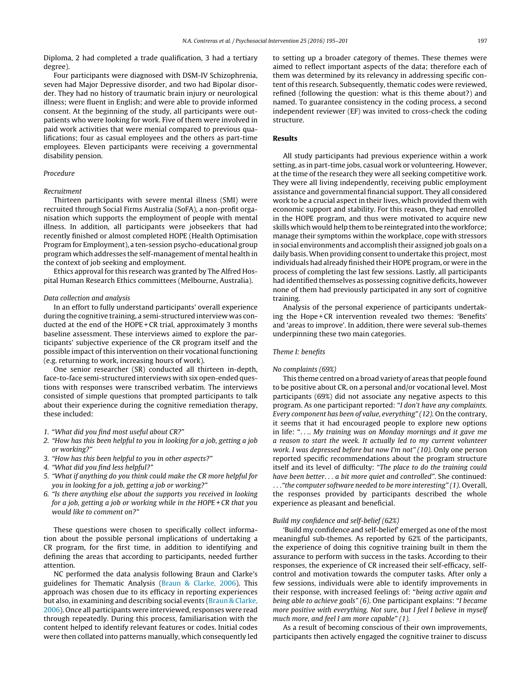Diploma, 2 had completed a trade qualification, 3 had a tertiary degree).

Four participants were diagnosed with DSM-IV Schizophrenia, seven had Major Depressive disorder, and two had Bipolar disorder. They had no history of traumatic brain injury or neurological illness; were fluent in English; and were able to provide informed consent. At the beginning of the study, all participants were outpatients who were looking for work. Five of them were involved in paid work activities that were menial compared to previous qualifications; four as casual employees and the others as part-time employees. Eleven participants were receiving a governmental disability pension.

# Procedure

## Recruitment

Thirteen participants with severe mental illness (SMI) were recruited through Social Firms Australia (SoFA), a non-profit organisation which supports the employment of people with mental illness. In addition, all participants were jobseekers that had recently finished or almost completed HOPE (Health Optimisation Program for Employment), a ten-session psycho-educational group program which addresses the self-management of mental health in the context of job seeking and employment.

Ethics approval for this research was granted by The Alfred Hospital Human Research Ethics committees (Melbourne, Australia).

### Data collection and analysis

In an effort to fully understand participants' overall experience during the cognitive training, a semi-structured interview was conducted at the end of the HOPE + CR trial, approximately 3 months baseline assessment. These interviews aimed to explore the participants' subjective experience of the CR program itself and the possible impact of this intervention on their vocational functioning (e.g. returning to work, increasing hours of work).

One senior researcher (SR) conducted all thirteen in-depth, face-to-face semi-structured interviews with six open-ended questions with responses were transcribed verbatim. The interviews consisted of simple questions that prompted participants to talk about their experience during the cognitive remediation therapy, these included:

- 1. "What did you find most useful about CR?"
- 2. "How has this been helpful to you in looking for a job, getting a job or working?"
- 3. "How has this been helpful to you in other aspects?"
- 4. "What did you find less helpful?"
- 5. "What if anything do you think could make the CR more helpful for you in looking for a job, getting a job or working?"
- 6. "Is there anything else about the supports you received in looking for a job, getting a job or working while in the HOPE + CR that you would like to comment on?"

These questions were chosen to specifically collect information about the possible personal implications of undertaking a CR program, for the first time, in addition to identifying and defining the areas that according to participants, needed further attention.

NC performed the data analysis following Braun and Clarke's guidelines for Thematic Analysis [\(Braun](#page-5-0) [&](#page-5-0) [Clarke,](#page-5-0) [2006\).](#page-5-0) This approach was chosen due to its efficacy in reporting experiences but also, in examining and describing social events ([Braun](#page-5-0) [&](#page-5-0) [Clarke,](#page-5-0) [2006\).](#page-5-0) Once all participants were interviewed, responses were read through repeatedly. During this process, familiarisation with the content helped to identify relevant features or codes. Initial codes were then collated into patterns manually, which consequently led

to setting up a broader category of themes. These themes were aimed to reflect important aspects of the data; therefore each of them was determined by its relevancy in addressing specific content of this research. Subsequently, thematic codes were reviewed, refined (following the question: what is this theme about?) and named. To guarantee consistency in the coding process, a second independent reviewer (EF) was invited to cross-check the coding structure.

# **Results**

All study participants had previous experience within a work setting, as in part-time jobs, casual work or volunteering. However, at the time of the research they were all seeking competitive work. They were all living independently, receiving public employment assistance and governmental financial support. They all considered work to be a crucial aspect in their lives, which provided them with economic support and stability. For this reason, they had enrolled in the HOPE program, and thus were motivated to acquire new skills which would help them to be reintegrated into the workforce; manage their symptoms within the workplace, cope with stressors in social environments and accomplish their assigned job goals on a daily basis. When providing consent to undertake this project, most individuals had already finished their HOPE program, or were in the process of completing the last few sessions. Lastly, all participants had identified themselves as possessing cognitive deficits, however none of them had previously participated in any sort of cognitive training.

Analysis of the personal experience of participants undertaking the Hope + CR intervention revealed two themes: 'Benefits' and 'areas to improve'. In addition, there were several sub-themes underpinning these two main categories.

## Theme I: benefits

#### No complaints (69%)

This theme centred on a broad variety of areas that people found to be positive about CR, on a personal and/or vocational level. Most participants (69%) did not associate any negative aspects to this program. As one participant reported: "I don't have any complaints. Every component has been of value, everything" (12). On the contrary, it seems that it had encouraged people to explore new options in life: ". . .. My training was on Monday mornings and it gave me a reason to start the week. It actually led to my current volunteer work. I was depressed before but now I'm not" (10). Only one person reported specific recommendations about the program structure itself and its level of difficulty: "The place to do the training could have been better. . . a bit more quiet and controlled". She continued: . . ."the computer software needed to be more interesting" (1). Overall, the responses provided by participants described the whole experience as pleasant and beneficial.

## Build my confidence and self-belief (62%)

'Build my confidence and self-belief' emerged as one of the most meaningful sub-themes. As reported by 62% of the participants, the experience of doing this cognitive training built in them the assurance to perform with success in the tasks. According to their responses, the experience of CR increased their self-efficacy, selfcontrol and motivation towards the computer tasks. After only a few sessions, individuals were able to identify improvements in their response, with increased feelings of: "being active again and being able to achieve goals" (6). One participant explains: "I became more positive with everything. Not sure, but I feel I believe in myself much more, and feel I am more capable" (1).

As a result of becoming conscious of their own improvements, participants then actively engaged the cognitive trainer to discuss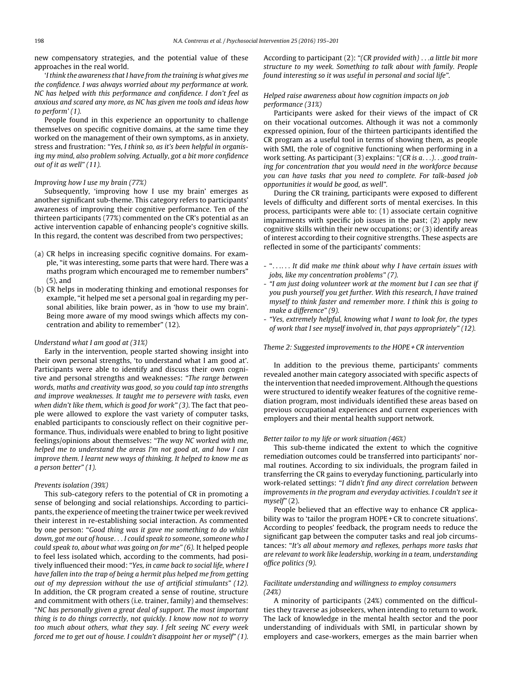new compensatory strategies, and the potential value of these approaches in the real world.

'I think the awareness that I have from the training is what gives me the confidence. I was always worried about my performance at work. NC has helped with this performance and confidence. I don't feel as anxious and scared any more, as NC has given me tools and ideas how to perform' (1).

People found in this experience an opportunity to challenge themselves on specific cognitive domains, at the same time they worked on the management of their own symptoms, as in anxiety, stress and frustration: "Yes, I think so, as it's been helpful in organising my mind, also problem solving. Actually, got a bit more confidence out of it as well" (11).

#### Improving how I use my brain (77%)

Subsequently, 'improving how I use my brain' emerges as another significant sub-theme. This category refers to participants' awareness of improving their cognitive performance. Ten of the thirteen participants (77%) commented on the CR's potential as an active intervention capable of enhancing people's cognitive skills. In this regard, the content was described from two perspectives;

- (a) CR helps in increasing specific cognitive domains. For example, "it was interesting, some parts that were hard. There was a maths program which encouraged me to remember numbers" (5), and
- (b) CR helps in moderating thinking and emotional responses for example, "it helped me set a personal goal in regarding my personal abilities, like brain power, as in 'how to use my brain'. Being more aware of my mood swings which affects my concentration and ability to remember" (12).

## Understand what I am good at (31%)

Early in the intervention, people started showing insight into their own personal strengths, 'to understand what I am good at'. Participants were able to identify and discuss their own cognitive and personal strengths and weaknesses: "The range between words, maths and creativity was good, so you could tap into strengths and improve weaknesses. It taught me to persevere with tasks, even when didn't like them, which is good for work" (3). The fact that people were allowed to explore the vast variety of computer tasks, enabled participants to consciously reflect on their cognitive performance. Thus, individuals were enabled to bring to light positive feelings/opinions about themselves: "The way NC worked with me, helped me to understand the areas I'm not good at, and how I can improve them. I learnt new ways of thinking. It helped to know me as a person better" (1).

# Prevents isolation (39%)

This sub-category refers to the potential of CR in promoting a sense of belonging and social relationships. According to participants, the experience of meeting the trainer twice per week revived their interest in re-establishing social interaction. As commented by one person: "Good thing was it gave me something to do whilst down, got me out of house. . . I could speak to someone, someone who I could speak to, about what was going on for me" (6). It helped people to feel less isolated which, according to the comments, had positively influenced their mood: "Yes, in came back to social life, where I have fallen into the trap of being a hermit plus helped me from getting out of my depression without the use of artificial stimulants" (12). In addition, the CR program created a sense of routine, structure and commitment with others (i.e. trainer, family) and themselves: "NC has personally given a great deal of support. The most important thing is to do things correctly, not quickly. I know now not to worry too much about others, what they say. I felt seeing NC every week forced me to get out of house. I couldn't disappoint her or myself" (1).

According to participant (2): "(CR provided with) . . .a little bit more structure to my week. Something to talk about with family. People found interesting so it was useful in personal and social life".

# Helped raise awareness about how cognition impacts on job performance (31%)

Participants were asked for their views of the impact of CR on their vocational outcomes. Although it was not a commonly expressed opinion, four of the thirteen participants identified the CR program as a useful tool in terms of showing them, as people with SMI, the role of cognitive functioning when performing in a work setting. As participant (3) explains: "(CR is a. . .). . .good training for concentration that you would need in the workforce because you can have tasks that you need to complete. For talk-based job opportunities it would be good, as well".

During the CR training, participants were exposed to different levels of difficulty and different sorts of mental exercises. In this process, participants were able to: (1) associate certain cognitive impairments with specific job issues in the past; (2) apply new cognitive skills within their new occupations; or (3) identify areas of interest according to their cognitive strengths. These aspects are reflected in some of the participants' comments:

- ". . .. . . It did make me think about why I have certain issues with jobs, like my concentration problems" (7).
- "I am just doing volunteer work at the moment but I can see that if you push yourself you get further. With this research, I have trained myself to think faster and remember more. I think this is going to make a difference" (9).
- "Yes, extremely helpful, knowing what I want to look for, the types of work that I see myself involved in, that pays appropriately" (12).

## Theme 2: Suggested improvements to the HOPE + CR intervention

In addition to the previous theme, participants' comments revealed another main category associated with specific aspects of the intervention that needed improvement.Although the questions were structured to identify weaker features of the cognitive remediation program, most individuals identified these areas based on previous occupational experiences and current experiences with employers and their mental health support network.

#### Better tailor to my life or work situation (46%)

This sub-theme indicated the extent to which the cognitive remediation outcomes could be transferred into participants' normal routines. According to six individuals, the program failed in transferring the CR gains to everyday functioning, particularly into work-related settings: "I didn't find any direct correlation between improvements in the program and everyday activities. I couldn't see it myself" (2).

People believed that an effective way to enhance CR applicability was to 'tailor the program HOPE + CR to concrete situations'. According to peoples' feedback, the program needs to reduce the significant gap between the computer tasks and real job circumstances: "It's all about memory and reflexes, perhaps more tasks that are relevant to work like leadership, working in a team, understanding office politics (9).

# Facilitate understanding and willingness to employ consumers (24%)

A minority of participants (24%) commented on the difficulties they traverse as jobseekers, when intending to return to work. The lack of knowledge in the mental health sector and the poor understanding of individuals with SMI, in particular shown by employers and case-workers, emerges as the main barrier when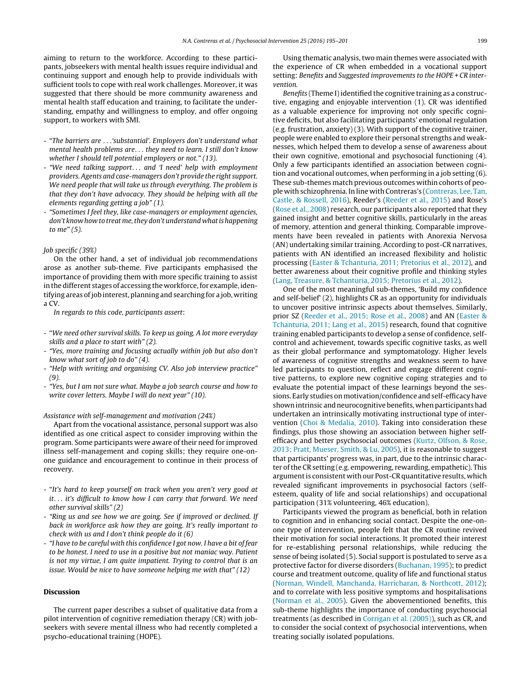aiming to return to the workforce. According to these participants, jobseekers with mental health issues require individual and continuing support and enough help to provide individuals with sufficient tools to cope with real work challenges. Moreover, it was suggested that there should be more community awareness and mental health staff education and training, to facilitate the understanding, empathy and willingness to employ, and offer ongoing support, to workers with SMI.

- "The barriers are . . .'substantial'. Employers don't understand what mental health problems are. . . they need to learn. I still don't know whether I should tell potential employers or not." (13).
- "We need talking support. . . and 'I need' help with employment providers. Agents and case-managers don't provide the right support. We need people that will take us through everything. The problem is that they don't have advocacy. They should be helping with all the elements regarding getting a job" (1).
- "Sometimes I feel they, like case-managers or employment agencies, don't know how to treat me, they don't understand what is happening to me" (5).

## Job specific (39%)

On the other hand, a set of individual job recommendations arose as another sub-theme. Five participants emphasised the importance of providing them with more specific training to assist in the different stages of accessing the workforce, for example, identifying areas ofjob interest, planning and searching for a job, writing a CV.

In regards to this code, participants assert:

- "We need other survival skills. To keep us going. A lot more everyday skills and a place to start with" (2).
- "Yes, more training and focusing actually within job but also don't know what sort of job to do" (4).
- "Help with writing and organising CV. Also job interview practice" (9).
- "Yes, but I am not sure what. Maybe a job search course and how to write cover letters. Maybe I will do next year" (10).

#### Assistance with self-management and motivation (24%)

Apart from the vocational assistance, personal support was also identified as one critical aspect to consider improving within the program. Some participants were aware of their need for improved illness self-management and coping skills; they require one-onone guidance and encouragement to continue in their process of recovery.

- "It's hard to keep yourself on track when you aren't very good at it... it's difficult to know how I can carry that forward. We need other survival skills" (2)
- "Ring us and see how we are going. See if improved or declined. If back in workforce ask how they are going. It's really important to check with us and I don't think people do it (6)
- "I have to be careful with this confidence I got now. I have a bit of fear to be honest. I need to use in a positive but not maniac way. Patient is not my virtue, I am quite impatient. Trying to control that is an issue. Would be nice to have someone helping me with that" (12)

## **Discussion**

The current paper describes a subset of qualitative data from a pilot intervention of cognitive remediation therapy (CR) with jobseekers with severe mental illness who had recently completed a psycho-educational training (HOPE).

Using thematic analysis, two main themes were associated with the experience of CR when embedded in a vocational support setting: Benefits and Suggested improvements to the HOPE + CR intervention.

Benefits (Theme I) identified the cognitive training as a constructive, engaging and enjoyable intervention (1). CR was identified as a valuable experience for improving not only specific cognitive deficits, but also facilitating participants' emotional regulation (e.g. frustration, anxiety) (3). With support of the cognitive trainer, people were enabled to explore their personal strengths and weaknesses, which helped them to develop a sense of awareness about their own cognitive, emotional and psychosocial functioning (4). Only a few participants identified an association between cognition and vocational outcomes, when performing in a job setting (6). These sub-themes match previous outcomes within cohorts of people with schizophrenia. In line with Contreras's ([Contreras,](#page-5-0) [Lee,](#page-5-0) [Tan,](#page-5-0) [Castle,](#page-5-0) [&](#page-5-0) [Rossell,](#page-5-0) [2016\),](#page-5-0) Reeder's ([Reeder](#page-6-0) et [al.,](#page-6-0) [2015\)](#page-6-0) and Rose's [\(Rose](#page-6-0) et [al.,](#page-6-0) [2008\)](#page-6-0) research, our participants also reported that they gained insight and better cognitive skills, particularly in the areas of memory, attention and general thinking. Comparable improvements have been revealed in patients with Anorexia Nervosa (AN) undertaking similar training. According to post-CR narratives, patients with AN identified an increased flexibility and holistic processing ([Easter](#page-5-0) [&](#page-5-0) [Tchanturia,](#page-5-0) [2011;](#page-5-0) [Pretorius](#page-5-0) et [al.,](#page-5-0) [2012\),](#page-5-0) and better awareness about their cognitive profile and thinking styles [\(Lang,](#page-6-0) [Treasure,](#page-6-0) [&](#page-6-0) [Tchanturia,](#page-6-0) [2015;](#page-6-0) [Pretorius](#page-6-0) et [al.,](#page-6-0) [2012\).](#page-6-0)

One of the most meaningful sub-themes, 'Build my confidence and self-belief' (2), highlights CR as an opportunity for individuals to uncover positive intrinsic aspects about themselves. Similarly, prior SZ [\(Reeder](#page-6-0) et [al.,](#page-6-0) [2015;](#page-6-0) [Rose](#page-6-0) et [al.,](#page-6-0) [2008\)](#page-6-0) and AN ([Easter](#page-5-0) [&](#page-5-0) [Tchanturia,](#page-5-0) [2011;](#page-5-0) [Lang](#page-5-0) et [al.,](#page-5-0) [2015\)](#page-5-0) research, found that cognitive training enabled participants to develop a sense of confidence, selfcontrol and achievement, towards specific cognitive tasks, as well as their global performance and symptomatology. Higher levels of awareness of cognitive strengths and weakness seem to have led participants to question, reflect and engage different cognitive patterns, to explore new cognitive coping strategies and to evaluate the potential impact of these learnings beyond the sessions. Early studies on motivation/confidence and self-efficacy have shown intrinsic and neurocognitive benefits, when participants had undertaken an intrinsically motivating instructional type of intervention ([Choi](#page-5-0) [&](#page-5-0) [Medalia,](#page-5-0) [2010\).](#page-5-0) Taking into consideration these findings, plus those showing an association between higher selfefficacy and better psychosocial outcomes ([Kurtz,](#page-6-0) [Olfson,](#page-6-0) [&](#page-6-0) [Rose,](#page-6-0) [2013;](#page-6-0) [Pratt,](#page-6-0) [Mueser,](#page-6-0) [Smith,](#page-6-0) [&](#page-6-0) [Lu,](#page-6-0) [2005\),](#page-6-0) it is reasonable to suggest that participants' progress was, in part, due to the intrinsic character of the CR setting (e.g. empowering, rewarding, empathetic). This argument is consistent with our Post-CR quantitative results, which revealed significant improvements in psychosocial factors (selfesteem, quality of life and social relationships) and occupational participation (31% volunteering, 46% education).

Participants viewed the program as beneficial, both in relation to cognition and in enhancing social contact. Despite the one-onone type of intervention, people felt that the CR routine revived their motivation for social interactions. It promoted their interest for re-establishing personal relationships, while reducing the sense of being isolated (5). Social support is postulated to serve as a protective factor for diverse disorders [\(Buchanan,](#page-5-0) [1995\);](#page-5-0) to predict course and treatment outcome, quality of life and functional status [\(Norman,](#page-6-0) [Windell,](#page-6-0) [Manchanda,](#page-6-0) [Harricharan,](#page-6-0) [&](#page-6-0) [Northcott,](#page-6-0) [2012\);](#page-6-0) and to correlate with less positive symptoms and hospitalisations [\(Norman](#page-6-0) et [al.,](#page-6-0) [2005\).](#page-6-0) Given the abovementioned benefits, this sub-theme highlights the importance of conducting psychosocial treatments (as described in [Corrigan](#page-5-0) et [al.](#page-5-0) [\(2005\)\),](#page-5-0) such as CR, and to consider the social context of psychosocial interventions, when treating socially isolated populations.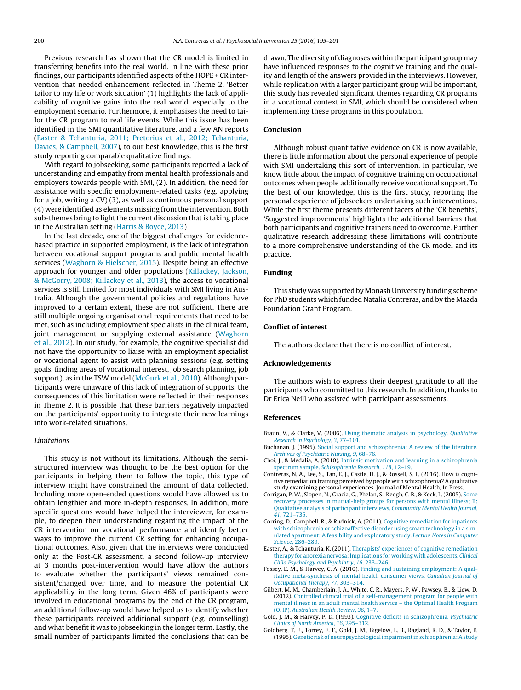<span id="page-5-0"></span>Previous research has shown that the CR model is limited in transferring benefits into the real world. In line with these prior findings, our participants identified aspects of the HOPE + CR intervention that needed enhancement reflected in Theme 2. 'Better tailor to my life or work situation' (1) highlights the lack of applicability of cognitive gains into the real world, especially to the employment scenario. Furthermore, it emphasises the need to tailor the CR program to real life events. While this issue has been identified in the SMI quantitative literature, and a few AN reports (Easter & Tchanturia, 2011; Pretorius et al., 2012; Tchanturia, Davies, & Campbell, 2007), to our best knowledge, this is the first study reporting comparable qualitative findings.

With regard to jobseeking, some participants reported a lack of understanding and empathy from mental health professionals and employers towards people with SMI, (2). In addition, the need for assistance with specific employment-related tasks (e.g. applying for a job, writing a CV) (3), as well as continuous personal support (4) were identified as elements missing from the intervention. Both sub-themes bring to light the current discussion that is taking place in the Australian setting ([Harris](#page-6-0) [&](#page-6-0) [Boyce,](#page-6-0) [2013\)](#page-6-0)

In the last decade, one of the biggest challenges for evidencebased practice in supported employment, is the lack of integration between vocational support programs and public mental health services [\(Waghorn](#page-6-0) [&](#page-6-0) [Hielscher,](#page-6-0) [2015\).](#page-6-0) Despite being an effective approach for younger and older populations ([Killackey,](#page-6-0) [Jackson,](#page-6-0) [&](#page-6-0) [McGorry,](#page-6-0) [2008;](#page-6-0) [Killackey](#page-6-0) et [al.,](#page-6-0) [2013\),](#page-6-0) the access to vocational services is still limited for most individuals with SMI living in Australia. Although the governmental policies and regulations have improved to a certain extent, these are not sufficient. There are still multiple ongoing organisational requirements that need to be met, such as including employment specialists in the clinical team, joint management or supplying external assistance ([Waghorn](#page-6-0) et [al.,](#page-6-0) [2012\).](#page-6-0) In our study, for example, the cognitive specialist did not have the opportunity to liaise with an employment specialist or vocational agent to assist with planning sessions (e.g. setting goals, finding areas of vocational interest, job search planning, job support), as in the TSW model [\(McGurk](#page-6-0) et [al.,](#page-6-0) [2010\).](#page-6-0) Although participants were unaware of this lack of integration of supports, the consequences of this limitation were reflected in their responses in Theme 2. It is possible that these barriers negatively impacted on the participants' opportunity to integrate their new learnings into work-related situations.

#### Limitations

This study is not without its limitations. Although the semistructured interview was thought to be the best option for the participants in helping them to follow the topic, this type of interview might have constrained the amount of data collected. Including more open-ended questions would have allowed us to obtain lengthier and more in-depth responses. In addition, more specific questions would have helped the interviewer, for example, to deepen their understanding regarding the impact of the CR intervention on vocational performance and identify better ways to improve the current CR setting for enhancing occupational outcomes. Also, given that the interviews were conducted only at the Post-CR assessment, a second follow-up interview at 3 months post-intervention would have allow the authors to evaluate whether the participants' views remained consistent/changed over time, and to measure the potential CR applicability in the long term. Given 46% of participants were involved in educational programs by the end of the CR program, an additional follow-up would have helped us to identify whether these participants received additional support (e.g. counselling) and what benefit it was to jobseeking in the longer term. Lastly, the small number of participants limited the conclusions that can be

drawn. The diversity of diagnoses within the participant group may have influenced responses to the cognitive training and the quality and length of the answers provided in the interviews. However, while replication with a larger participant group will be important, this study has revealed significant themes regarding CR programs in a vocational context in SMI, which should be considered when implementing these programs in this population.

#### **Conclusion**

Although robust quantitative evidence on CR is now available, there is little information about the personal experience of people with SMI undertaking this sort of intervention. In particular, we know little about the impact of cognitive training on occupational outcomes when people additionally receive vocational support. To the best of our knowledge, this is the first study, reporting the personal experience of jobseekers undertaking such interventions. While the first theme presents different facets of the 'CR benefits', 'Suggested improvements' highlights the additional barriers that both participants and cognitive trainers need to overcome. Further qualitative research addressing these limitations will contribute to a more comprehensive understanding of the CR model and its practice.

## **Funding**

This study was supported by Monash University funding scheme for PhD students which funded Natalia Contreras, and by the Mazda Foundation Grant Program.

## **Conflict of interest**

The authors declare that there is no conflict of interest.

## **Acknowledgements**

The authors wish to express their deepest gratitude to all the participants who committed to this research. In addition, thanks to Dr Erica Neill who assisted with participant assessments.

## **References**

- Braun, V., & Clarke, V. (2006). [Using](http://refhub.elsevier.com/S1132-0559(16)00013-2/sbref0005) [thematic](http://refhub.elsevier.com/S1132-0559(16)00013-2/sbref0005) [analysis](http://refhub.elsevier.com/S1132-0559(16)00013-2/sbref0005) [in](http://refhub.elsevier.com/S1132-0559(16)00013-2/sbref0005) [psychology.](http://refhub.elsevier.com/S1132-0559(16)00013-2/sbref0005) [Qualitative](http://refhub.elsevier.com/S1132-0559(16)00013-2/sbref0005) [Research](http://refhub.elsevier.com/S1132-0559(16)00013-2/sbref0005) [in](http://refhub.elsevier.com/S1132-0559(16)00013-2/sbref0005) [Psychology](http://refhub.elsevier.com/S1132-0559(16)00013-2/sbref0005)[,](http://refhub.elsevier.com/S1132-0559(16)00013-2/sbref0005) [3](http://refhub.elsevier.com/S1132-0559(16)00013-2/sbref0005)[,](http://refhub.elsevier.com/S1132-0559(16)00013-2/sbref0005) [77](http://refhub.elsevier.com/S1132-0559(16)00013-2/sbref0005)–[101.](http://refhub.elsevier.com/S1132-0559(16)00013-2/sbref0005)
- Buchanan, J. (1995). [Social](http://refhub.elsevier.com/S1132-0559(16)00013-2/sbref0010) [support](http://refhub.elsevier.com/S1132-0559(16)00013-2/sbref0010) [and](http://refhub.elsevier.com/S1132-0559(16)00013-2/sbref0010) [schizophrenia:](http://refhub.elsevier.com/S1132-0559(16)00013-2/sbref0010) [A](http://refhub.elsevier.com/S1132-0559(16)00013-2/sbref0010) [review](http://refhub.elsevier.com/S1132-0559(16)00013-2/sbref0010) [of](http://refhub.elsevier.com/S1132-0559(16)00013-2/sbref0010) [the](http://refhub.elsevier.com/S1132-0559(16)00013-2/sbref0010) [literature.](http://refhub.elsevier.com/S1132-0559(16)00013-2/sbref0010) [Archives](http://refhub.elsevier.com/S1132-0559(16)00013-2/sbref0010) [of](http://refhub.elsevier.com/S1132-0559(16)00013-2/sbref0010) [Psychiatric](http://refhub.elsevier.com/S1132-0559(16)00013-2/sbref0010) [Nursing](http://refhub.elsevier.com/S1132-0559(16)00013-2/sbref0010)[,](http://refhub.elsevier.com/S1132-0559(16)00013-2/sbref0010) [9](http://refhub.elsevier.com/S1132-0559(16)00013-2/sbref0010)[,](http://refhub.elsevier.com/S1132-0559(16)00013-2/sbref0010) [68](http://refhub.elsevier.com/S1132-0559(16)00013-2/sbref0010)–[76.](http://refhub.elsevier.com/S1132-0559(16)00013-2/sbref0010)
- Choi, J., & Medalia, A. (2010). [Intrinsic](http://refhub.elsevier.com/S1132-0559(16)00013-2/sbref0015) [motivation](http://refhub.elsevier.com/S1132-0559(16)00013-2/sbref0015) [and](http://refhub.elsevier.com/S1132-0559(16)00013-2/sbref0015) [learning](http://refhub.elsevier.com/S1132-0559(16)00013-2/sbref0015) [in](http://refhub.elsevier.com/S1132-0559(16)00013-2/sbref0015) [a](http://refhub.elsevier.com/S1132-0559(16)00013-2/sbref0015) [schizophrenia](http://refhub.elsevier.com/S1132-0559(16)00013-2/sbref0015) [spectrum](http://refhub.elsevier.com/S1132-0559(16)00013-2/sbref0015) [sample.](http://refhub.elsevier.com/S1132-0559(16)00013-2/sbref0015) [Schizophrenia](http://refhub.elsevier.com/S1132-0559(16)00013-2/sbref0015) [Research](http://refhub.elsevier.com/S1132-0559(16)00013-2/sbref0015)[,](http://refhub.elsevier.com/S1132-0559(16)00013-2/sbref0015) [118](http://refhub.elsevier.com/S1132-0559(16)00013-2/sbref0015)[,](http://refhub.elsevier.com/S1132-0559(16)00013-2/sbref0015) [12–19.](http://refhub.elsevier.com/S1132-0559(16)00013-2/sbref0015)
- Contreras, N. A., Lee, S., Tan, E. J., Castle, D. J., & Rossell, S. L. (2016). How is cognitive remediation training perceived by people with schizophrenia? A qualitative study examining personal experiences. Journal of Mental Health, In Press.
- Corrigan, P. W., Slopen, N., Gracia, G., Phelan, S., Keogh, C. B., & Keck, L. (2005). [Some](http://refhub.elsevier.com/S1132-0559(16)00013-2/sbref0020) [recovery](http://refhub.elsevier.com/S1132-0559(16)00013-2/sbref0020) [processes](http://refhub.elsevier.com/S1132-0559(16)00013-2/sbref0020) [in](http://refhub.elsevier.com/S1132-0559(16)00013-2/sbref0020) [mutual-help](http://refhub.elsevier.com/S1132-0559(16)00013-2/sbref0020) [groups](http://refhub.elsevier.com/S1132-0559(16)00013-2/sbref0020) [for](http://refhub.elsevier.com/S1132-0559(16)00013-2/sbref0020) [persons](http://refhub.elsevier.com/S1132-0559(16)00013-2/sbref0020) [with](http://refhub.elsevier.com/S1132-0559(16)00013-2/sbref0020) [mental](http://refhub.elsevier.com/S1132-0559(16)00013-2/sbref0020) [illness;](http://refhub.elsevier.com/S1132-0559(16)00013-2/sbref0020) [II:](http://refhub.elsevier.com/S1132-0559(16)00013-2/sbref0020) [Qualitative](http://refhub.elsevier.com/S1132-0559(16)00013-2/sbref0020) [analysis](http://refhub.elsevier.com/S1132-0559(16)00013-2/sbref0020) [of](http://refhub.elsevier.com/S1132-0559(16)00013-2/sbref0020) [participant](http://refhub.elsevier.com/S1132-0559(16)00013-2/sbref0020) [interviews.](http://refhub.elsevier.com/S1132-0559(16)00013-2/sbref0020) [Community](http://refhub.elsevier.com/S1132-0559(16)00013-2/sbref0020) [Mental](http://refhub.elsevier.com/S1132-0559(16)00013-2/sbref0020) [Health](http://refhub.elsevier.com/S1132-0559(16)00013-2/sbref0020) [Journal](http://refhub.elsevier.com/S1132-0559(16)00013-2/sbref0020)[,](http://refhub.elsevier.com/S1132-0559(16)00013-2/sbref0020) [41](http://refhub.elsevier.com/S1132-0559(16)00013-2/sbref0020)[,](http://refhub.elsevier.com/S1132-0559(16)00013-2/sbref0020) [721–735.](http://refhub.elsevier.com/S1132-0559(16)00013-2/sbref0020)
- Corring, D., Campbell, R., & Rudnick, A. (2011). [Cognitive](http://refhub.elsevier.com/S1132-0559(16)00013-2/sbref0025) [remediation](http://refhub.elsevier.com/S1132-0559(16)00013-2/sbref0025) [for](http://refhub.elsevier.com/S1132-0559(16)00013-2/sbref0025) [inpatients](http://refhub.elsevier.com/S1132-0559(16)00013-2/sbref0025) [with](http://refhub.elsevier.com/S1132-0559(16)00013-2/sbref0025) [schizophrenia](http://refhub.elsevier.com/S1132-0559(16)00013-2/sbref0025) [or](http://refhub.elsevier.com/S1132-0559(16)00013-2/sbref0025) [schizoaffective](http://refhub.elsevier.com/S1132-0559(16)00013-2/sbref0025) [disorder](http://refhub.elsevier.com/S1132-0559(16)00013-2/sbref0025) [using](http://refhub.elsevier.com/S1132-0559(16)00013-2/sbref0025) [smart](http://refhub.elsevier.com/S1132-0559(16)00013-2/sbref0025) [technology](http://refhub.elsevier.com/S1132-0559(16)00013-2/sbref0025) [in](http://refhub.elsevier.com/S1132-0559(16)00013-2/sbref0025) [a](http://refhub.elsevier.com/S1132-0559(16)00013-2/sbref0025) [sim](http://refhub.elsevier.com/S1132-0559(16)00013-2/sbref0025)[ulated](http://refhub.elsevier.com/S1132-0559(16)00013-2/sbref0025) [apartment:](http://refhub.elsevier.com/S1132-0559(16)00013-2/sbref0025) [A](http://refhub.elsevier.com/S1132-0559(16)00013-2/sbref0025) [feasibility](http://refhub.elsevier.com/S1132-0559(16)00013-2/sbref0025) [and](http://refhub.elsevier.com/S1132-0559(16)00013-2/sbref0025) [exploratory](http://refhub.elsevier.com/S1132-0559(16)00013-2/sbref0025) [study.](http://refhub.elsevier.com/S1132-0559(16)00013-2/sbref0025) [Lecture](http://refhub.elsevier.com/S1132-0559(16)00013-2/sbref0025) [Notes](http://refhub.elsevier.com/S1132-0559(16)00013-2/sbref0025) [in](http://refhub.elsevier.com/S1132-0559(16)00013-2/sbref0025) [Computer](http://refhub.elsevier.com/S1132-0559(16)00013-2/sbref0025) [Science](http://refhub.elsevier.com/S1132-0559(16)00013-2/sbref0025)[,](http://refhub.elsevier.com/S1132-0559(16)00013-2/sbref0025) [286–289.](http://refhub.elsevier.com/S1132-0559(16)00013-2/sbref0025)
- Easter, A., & Tchanturia, K. (2011). [Therapists'](http://refhub.elsevier.com/S1132-0559(16)00013-2/sbref0030) [experiences](http://refhub.elsevier.com/S1132-0559(16)00013-2/sbref0030) [of](http://refhub.elsevier.com/S1132-0559(16)00013-2/sbref0030) [cognitive](http://refhub.elsevier.com/S1132-0559(16)00013-2/sbref0030) [remediation](http://refhub.elsevier.com/S1132-0559(16)00013-2/sbref0030) [therapy](http://refhub.elsevier.com/S1132-0559(16)00013-2/sbref0030) [for](http://refhub.elsevier.com/S1132-0559(16)00013-2/sbref0030) [anorexia](http://refhub.elsevier.com/S1132-0559(16)00013-2/sbref0030) nervosa: Implications for [working](http://refhub.elsevier.com/S1132-0559(16)00013-2/sbref0030) [with](http://refhub.elsevier.com/S1132-0559(16)00013-2/sbref0030) [adolescents.](http://refhub.elsevier.com/S1132-0559(16)00013-2/sbref0030) [Clinical](http://refhub.elsevier.com/S1132-0559(16)00013-2/sbref0030) [Child](http://refhub.elsevier.com/S1132-0559(16)00013-2/sbref0030) [Psychology](http://refhub.elsevier.com/S1132-0559(16)00013-2/sbref0030) [and](http://refhub.elsevier.com/S1132-0559(16)00013-2/sbref0030) [Psychiatry](http://refhub.elsevier.com/S1132-0559(16)00013-2/sbref0030)[,](http://refhub.elsevier.com/S1132-0559(16)00013-2/sbref0030) [16](http://refhub.elsevier.com/S1132-0559(16)00013-2/sbref0030)[,](http://refhub.elsevier.com/S1132-0559(16)00013-2/sbref0030) [233–246.](http://refhub.elsevier.com/S1132-0559(16)00013-2/sbref0030)
- Fossey, E. M., & Harvey, C. A. (2010). [Finding](http://refhub.elsevier.com/S1132-0559(16)00013-2/sbref0035) [and](http://refhub.elsevier.com/S1132-0559(16)00013-2/sbref0035) [sustaining](http://refhub.elsevier.com/S1132-0559(16)00013-2/sbref0035) [employment:](http://refhub.elsevier.com/S1132-0559(16)00013-2/sbref0035) [A](http://refhub.elsevier.com/S1132-0559(16)00013-2/sbref0035) [qual](http://refhub.elsevier.com/S1132-0559(16)00013-2/sbref0035)[itative](http://refhub.elsevier.com/S1132-0559(16)00013-2/sbref0035) [meta-synthesis](http://refhub.elsevier.com/S1132-0559(16)00013-2/sbref0035) [of](http://refhub.elsevier.com/S1132-0559(16)00013-2/sbref0035) [mental](http://refhub.elsevier.com/S1132-0559(16)00013-2/sbref0035) [health](http://refhub.elsevier.com/S1132-0559(16)00013-2/sbref0035) [consumer](http://refhub.elsevier.com/S1132-0559(16)00013-2/sbref0035) [views.](http://refhub.elsevier.com/S1132-0559(16)00013-2/sbref0035) [Canadian](http://refhub.elsevier.com/S1132-0559(16)00013-2/sbref0035) [Journal](http://refhub.elsevier.com/S1132-0559(16)00013-2/sbref0035) [of](http://refhub.elsevier.com/S1132-0559(16)00013-2/sbref0035) [Occupational](http://refhub.elsevier.com/S1132-0559(16)00013-2/sbref0035) [Therapy](http://refhub.elsevier.com/S1132-0559(16)00013-2/sbref0035), [77](http://refhub.elsevier.com/S1132-0559(16)00013-2/sbref0035)[,](http://refhub.elsevier.com/S1132-0559(16)00013-2/sbref0035) [303–314.](http://refhub.elsevier.com/S1132-0559(16)00013-2/sbref0035)
- Gilbert, M. M., Chamberlain, J. A., White, C. R., Mayers, P. W., Pawsey, B., & Liew, D. (2012). [Controlled](http://refhub.elsevier.com/S1132-0559(16)00013-2/sbref0040) [clinical](http://refhub.elsevier.com/S1132-0559(16)00013-2/sbref0040) [trial](http://refhub.elsevier.com/S1132-0559(16)00013-2/sbref0040) [of](http://refhub.elsevier.com/S1132-0559(16)00013-2/sbref0040) [a](http://refhub.elsevier.com/S1132-0559(16)00013-2/sbref0040) [self-management](http://refhub.elsevier.com/S1132-0559(16)00013-2/sbref0040) [program](http://refhub.elsevier.com/S1132-0559(16)00013-2/sbref0040) [for](http://refhub.elsevier.com/S1132-0559(16)00013-2/sbref0040) [people](http://refhub.elsevier.com/S1132-0559(16)00013-2/sbref0040) [with](http://refhub.elsevier.com/S1132-0559(16)00013-2/sbref0040) [mental](http://refhub.elsevier.com/S1132-0559(16)00013-2/sbref0040) [illness](http://refhub.elsevier.com/S1132-0559(16)00013-2/sbref0040) [in](http://refhub.elsevier.com/S1132-0559(16)00013-2/sbref0040) [an](http://refhub.elsevier.com/S1132-0559(16)00013-2/sbref0040) [adult](http://refhub.elsevier.com/S1132-0559(16)00013-2/sbref0040) [mental](http://refhub.elsevier.com/S1132-0559(16)00013-2/sbref0040) [health](http://refhub.elsevier.com/S1132-0559(16)00013-2/sbref0040) [service](http://refhub.elsevier.com/S1132-0559(16)00013-2/sbref0040) – [the](http://refhub.elsevier.com/S1132-0559(16)00013-2/sbref0040) [Optimal](http://refhub.elsevier.com/S1132-0559(16)00013-2/sbref0040) [Health](http://refhub.elsevier.com/S1132-0559(16)00013-2/sbref0040) [Program](http://refhub.elsevier.com/S1132-0559(16)00013-2/sbref0040) [\(OHP\).](http://refhub.elsevier.com/S1132-0559(16)00013-2/sbref0040) [Australian](http://refhub.elsevier.com/S1132-0559(16)00013-2/sbref0040) [Health](http://refhub.elsevier.com/S1132-0559(16)00013-2/sbref0040) [Review](http://refhub.elsevier.com/S1132-0559(16)00013-2/sbref0040)[,](http://refhub.elsevier.com/S1132-0559(16)00013-2/sbref0040) [36](http://refhub.elsevier.com/S1132-0559(16)00013-2/sbref0040), [1–7.](http://refhub.elsevier.com/S1132-0559(16)00013-2/sbref0040)
- Gold, J. M., & Harvey, P. D. (1993). [Cognitive](http://refhub.elsevier.com/S1132-0559(16)00013-2/sbref0045) [deficits](http://refhub.elsevier.com/S1132-0559(16)00013-2/sbref0045) [in](http://refhub.elsevier.com/S1132-0559(16)00013-2/sbref0045) [schizophrenia.](http://refhub.elsevier.com/S1132-0559(16)00013-2/sbref0045) [Psychiatric](http://refhub.elsevier.com/S1132-0559(16)00013-2/sbref0045) [Clinics](http://refhub.elsevier.com/S1132-0559(16)00013-2/sbref0045) [of](http://refhub.elsevier.com/S1132-0559(16)00013-2/sbref0045) [North](http://refhub.elsevier.com/S1132-0559(16)00013-2/sbref0045) [America](http://refhub.elsevier.com/S1132-0559(16)00013-2/sbref0045)[,](http://refhub.elsevier.com/S1132-0559(16)00013-2/sbref0045) [16](http://refhub.elsevier.com/S1132-0559(16)00013-2/sbref0045), [295–312.](http://refhub.elsevier.com/S1132-0559(16)00013-2/sbref0045)
- Goldberg, T. E., Torrey, E. F., Gold, J. M., Bigelow, L. B., Ragland, R. D., & Taylor, E. (1995). [Genetic](http://refhub.elsevier.com/S1132-0559(16)00013-2/sbref0050) [risk](http://refhub.elsevier.com/S1132-0559(16)00013-2/sbref0050) [ofneuropsychologicalimpairmentinschizophrenia:Astudy](http://refhub.elsevier.com/S1132-0559(16)00013-2/sbref0050)